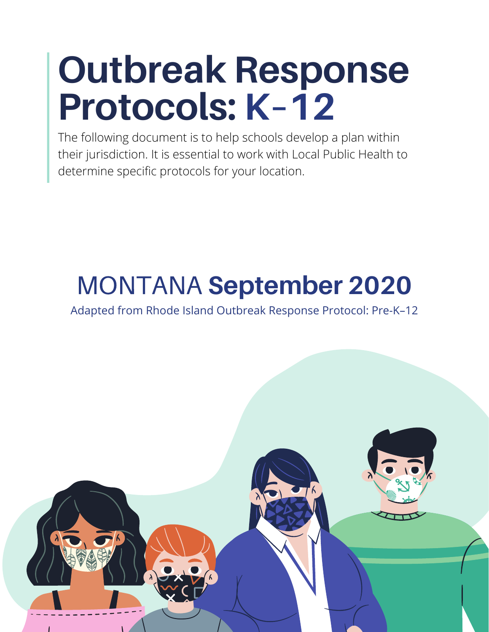# **Outbreak Response Protocols: K–12**

The following document is to help schools develop a plan within their jurisdiction. It is essential to work with Local Public Health to determine specific protocols for your location.

## MONTANA **September 2020**

Adapted from Rhode Island Outbreak Response Protocol: Pre-K–12

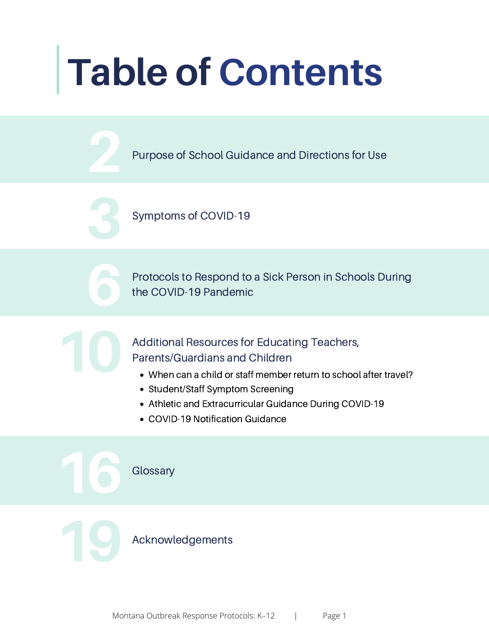# **Table of Contents**

Purpose of School Guidance and Directions for Use

Symptoms of COVID-19

Protocols to Respond to a Sick Person in Schools During the COVID-19 Pandemic

Additional Resources for Educating Teachers, Parents/Guardians and Children

- When can a child or staff member return to school after travel?
- Student/Staff Symptom Screening
- Athletic and Extracurricular Guidance During COVID-19
- COVID-19 Notification Guidance

**Glossary** 

Acknowledgements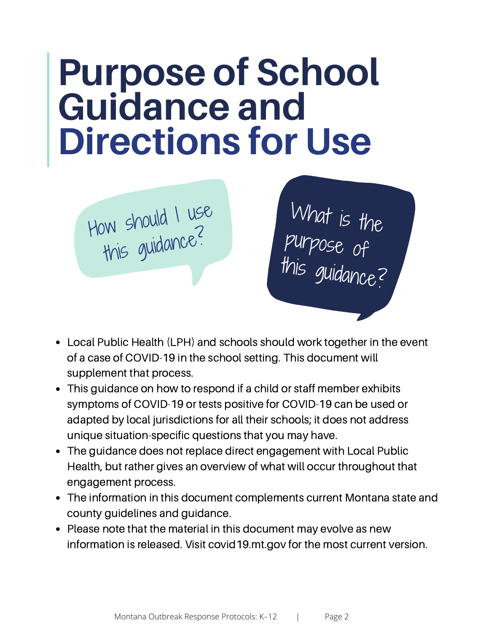## **Purpose of School Guidance and Directions for Use**



What is the purpose of this guidance?

- Local Public Health (LPH) and schools should work together in the event of a case of COVID-19 in the school setting. This document will supplement that process.
- This guidance on how to respond if a child or staff member exhibits symptoms of COVID-19 or tests positive for COVID-19 can be used or adapted by local jurisdictions for all their schools; it does not address unique situation-specific questions that you may have.
- The guidance does not replace direct engagement with Local Public Health, but rather gives an overview of what will occur throughout that engagement process.
- The information in this document complements current Montana state and county guidelines and guidance.
- Please note that the material in this document may evolve as new information is released. Visit [covid19.mt.gov](http://www.covid19.mt.gov) for the most current version.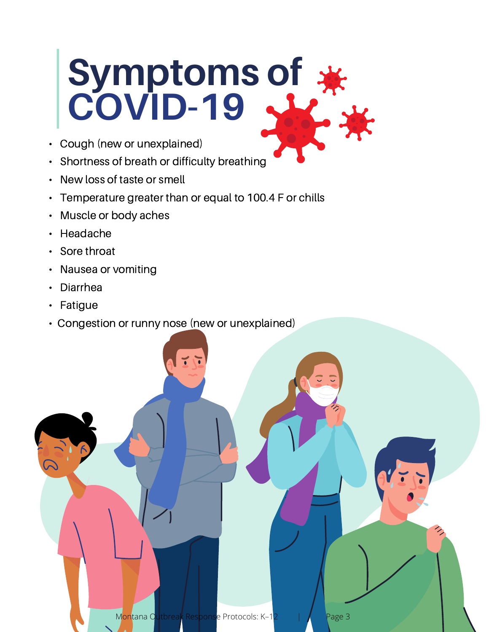# <span id="page-3-0"></span>**Symptoms of COVID-19**

- Cough (new or unexplained)
- Shortness of breath or difficulty breathing
- New loss of taste or smell
- Temperature greater than or equal to 100.4 F or chills
- Muscle or body aches
- Headache
- Sore throat
- Nausea or vomiting
- Diarrhea
- Fatigue
- Congestion or runny nose (new or unexplained)

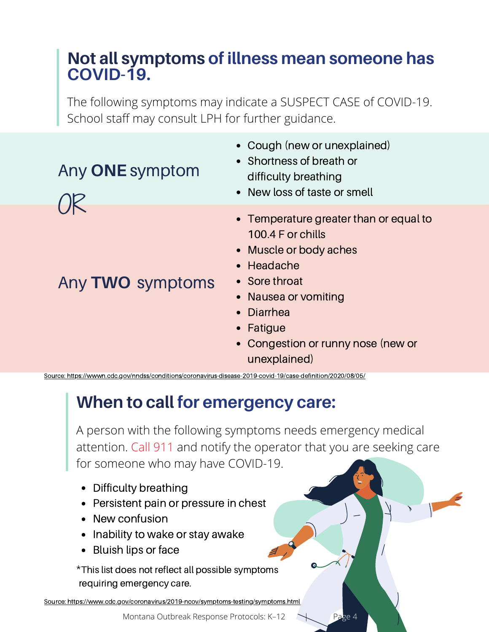### <span id="page-4-0"></span>**Not all symptoms of illness mean someone has COVID-19.**

The following symptoms may indicate a SUSPECT CASE of COVID-19. School staff may consult LPH for further guidance.

## Any **ONE** symptom

OR

Any **TWO** symptoms

Cough (new or unexplained)

- Shortness of breath or difficulty breathing
- New loss of taste or smell
- Temperature greater than or equal to 100.4 F or chills
- Muscle or body aches
- Headache
- Sore throat
- Nausea or vomiting
- Diarrhea
- Fatique
- Congestion or runny nose (new or unexplained)

Source: <https://wwwn.cdc.gov/nndss/conditions/coronavirus-disease-2019-covid-19/case-definition/2020/08/05/>

## **When to call for emergency care:**

A person with the following symptoms needs emergency medical attention. Call 911 and notify the operator that you are seeking care for someone who may have COVID-19.

- Difficulty breathing
- Persistent pain or pressure in chest
- New confusion
- Inability to wake or stay awake
- Bluish lips or face

This list does not reflect all possible symptoms \*requiring emergency care.

Source: <https://www.cdc.gov/coronavirus/2019-ncov/symptoms-testing/symptoms.html>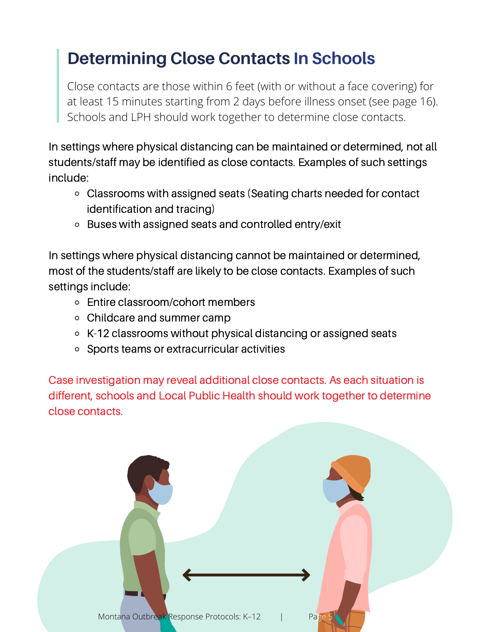## <span id="page-5-0"></span>**Determining Close Contacts In Schools**

Close contacts are those within 6 feet (with or without a face covering) for at least 15 minutes starting from 2 days before illness onset (see [page](#page-16-0) 16). Schools and LPH should work together to determine close contacts.

In settings where physical distancing can be maintained or determined, not all students/staff may be identified as close contacts. Examples of such settings include:

- Classrooms with assigned seats (Seating charts needed for contact identification and tracing)
- Buses with assigned seats and controlled entry/exit

In settings where physical distancing cannot be maintained or determined, most of the students/staff are likely to be close contacts. Examples of such settings include:

- Entire classroom/cohort members
- Childcare and summer camp
- K-12 classrooms without physical distancing or assigned seats
- Sports teams or extracurricular activities

Case investigation may reveal additional close contacts. As each situation is different, schools and Local Public Health should work together to determine close contacts.

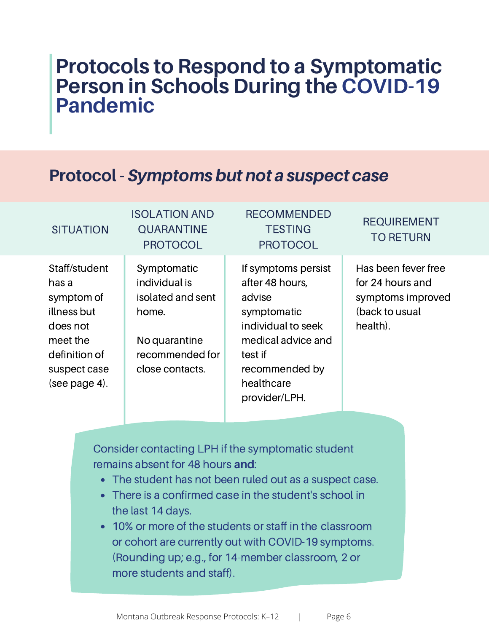## **Protocols to Respond to a Symptomatic Person in Schools During the COVID-19 Pandemic**

### **Protocol - Symptoms but not a suspect case**

#### **SITUATION**

#### QUARANTINE PROTOCOL

ISOLATION AND

#### Staff/student has a symptom of illness but does not meet the definition of suspect case (see [page 4\)](#page-4-0).

#### Symptomatic individual is isolated and sent home.

No quarantine recommended for close contacts.

#### If symptoms persist after 48 hours, advise symptomatic individual to seek medical advice and test if recommended by healthcare provider/LPH.

RECOMMENDED **TESTING** PROTOCOL

#### REQUIREMENT TO RETURN

Has been fever free for 24 hours and symptoms improved (back to usual health).

Consider contacting LPH if the symptomatic student remains absent for 48 hours **and**:

- The student has not been ruled out as a suspect case.
- There is a confirmed case in the student's school in the last 14 days.
- 10% or more of the students or staff in the classroom or cohort are currently out with COVID-19 symptoms. (Rounding up; e.g., for 14-member classroom, 2 or more students and staff).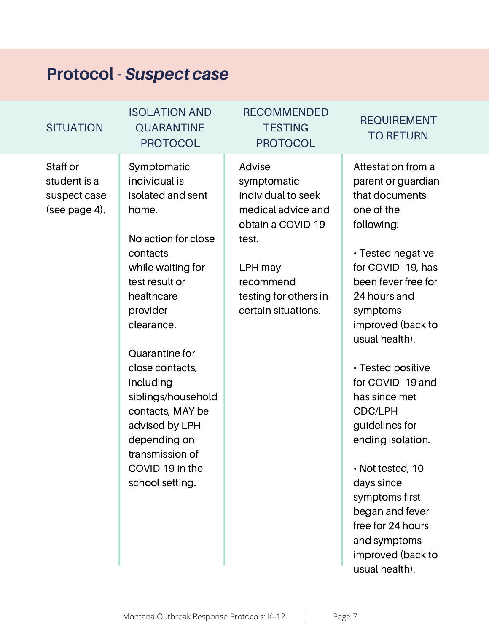### **Protocol -** Suspect case

#### **SITUATION**

#### ISOLATION AND QUARANTINE PROTOCOL

Staff or student is a suspect case (see [page](#page-3-0) 4).

Symptomatic individual is isolated and sent home.

No action for close contacts while waiting for test result or healthcare provider clearance.

Quarantine for close contacts, including siblings/household contacts, MAY be advised by LPH depending on transmission of COVID-19 in the school setting.

#### RECOMMENDED **TESTING** PROTOCOL

Advise symptomatic individual to seek medical advice and obtain a COVID-19 test.

LPH may recommend testing for others in certain situations.

#### REQUIREMENT TO RETURN

Attestation from a parent or guardian that documents one of the following:

• Tested negative for COVID- 19, has been fever free for 24 hours and symptoms improved (back to usual health).

• Tested positive for COVID- 19 and has since met CDC/LPH guidelines for ending isolation.

• Not tested, 10 days since symptoms first began and fever free for 24 hours and symptoms improved (back to usual health).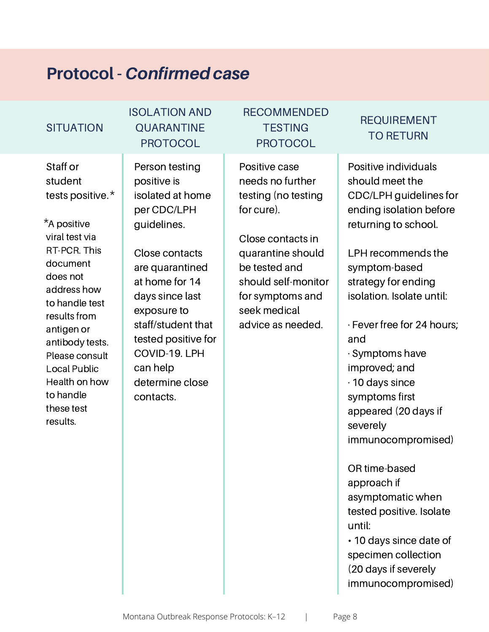### **Protocol - Confirmed case**

#### **SITUATION**

Staff or student tests positive. \*

\*A positive viral test via RT-PCR. This document does not address how to handle test results from antigen or antibody tests. Please consult Local Public Health on how to handle these test results.

#### ISOLATION AND QUARANTINE PROTOCOL

Person testing positive is isolated at home per CDC/LPH guidelines.

Close contacts are quarantined at home for 14 days since last exposure to staff/student that tested positive for COVID-19. LPH can help determine close contacts.

#### RECOMMENDED **TESTING** PROTOCOL

Positive case needs no further testing (no testing for cure).

Close contacts in quarantine should be tested and should self-monitor for symptoms and seek medical advice as needed.

#### REQUIREMENT TO RETURN

Positive individuals should meet the CDC/LPH guidelines for ending isolation before returning to school.

LPH recommends the symptom-based strategy for ending isolation. Isolate until:

· Fever free for 24 hours; and

· Symptoms have improved; and · 10 days since symptoms first appeared (20 days if severely immunocompromised)

OR time-based approach if asymptomatic when tested positive. Isolate until:

• 10 days since date of specimen collection (20 days if severely immunocompromised)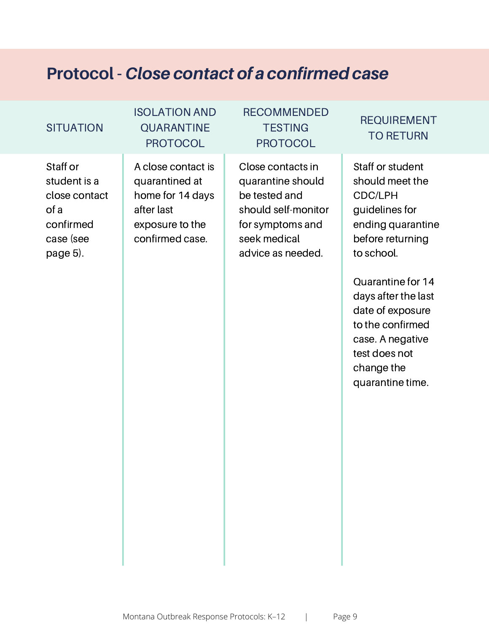### **Protocol - Close contact of a confirmed case**

#### **SITUATION**

#### ISOLATION AND QUARANTINE **PROTOCOL**

#### Staff or student is a close contact of a confirmed case (see [page](#page-5-0) 5).

A close contact is quarantined at home for 14 days after last exposure to the confirmed case.

#### RECOMMENDED **TESTING** PROTOCOL

Close contacts in quarantine should be tested and should self-monitor for symptoms and seek medical advice as needed.

#### REQUIREMENT TO RETURN

Staff or student should meet the CDC/LPH guidelines for ending quarantine before returning to school.

Quarantine for 14 days after the last date of exposure to the confirmed case. A negative test does not change the quarantine time.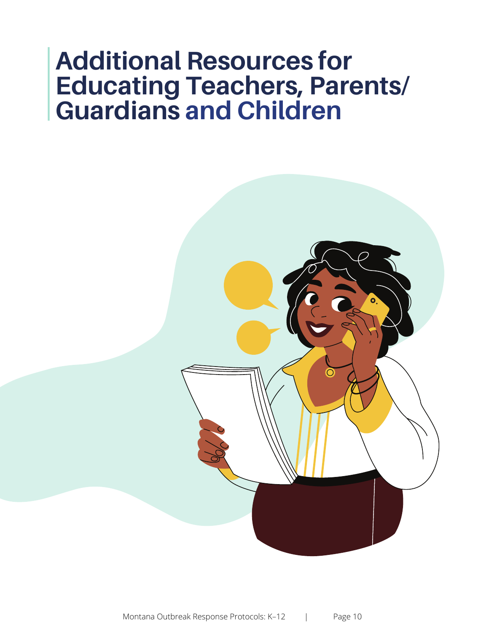## **Additional Resources for Educating Teachers, Parents/ Guardians and Children**

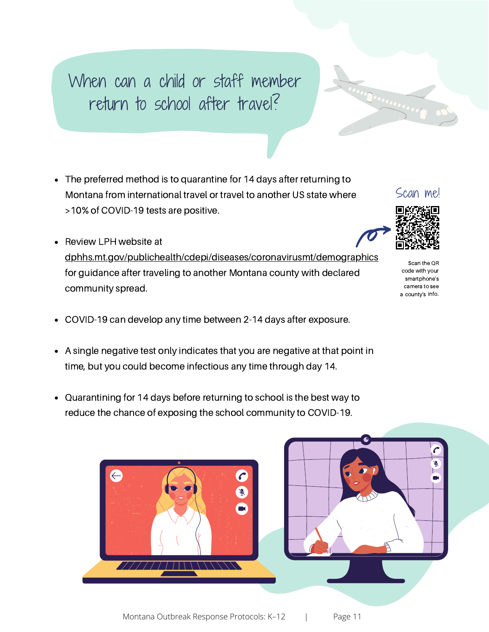## When can a child or staff member return to school after travel?

- The preferred method is to quarantine for 14 days after returning to Montana from international travel or travel to another US state where >10% of COVID-19 tests are positive.
- Review LPH website at [dphhs.mt.gov/publichealth/cdepi/diseases/coronavirusmt/demographics](https://dphhs.mt.gov/publichealth/cdepi/diseases/coronavirusmt/demographics) for guidance after traveling to another Montana county with declared community spread.
- COVID-19 can develop any time between 2-14 days after exposure.
- A single negative test only indicates that you are negative at that point in time, but you could become infectious any time through day 14.
- Quarantining for 14 days before returning to school is the best way to reduce the chance of exposing the school community to COVID-19.





Juan Dianes on



Scan the OR code with your smartphone's camera to see a county's info.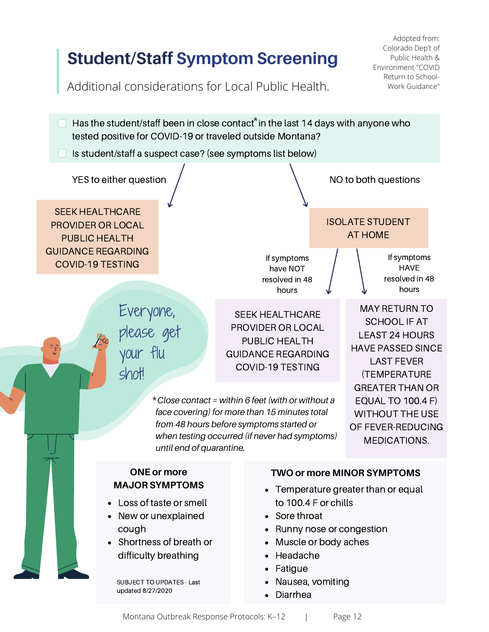## **Student/Staff Symptom Screening**

Adopted from: Colorado Dep't of Public Health & Environment "COVID Return to School-Work Guidance"

Additional considerations for Local Public Health.

- Has the student/staff been in close contact $*$  in the last 14 days with anyone who tested positive for COVID-19 or traveled outside Montana?
- Is student/staff a suspect case? (see symptoms list below)

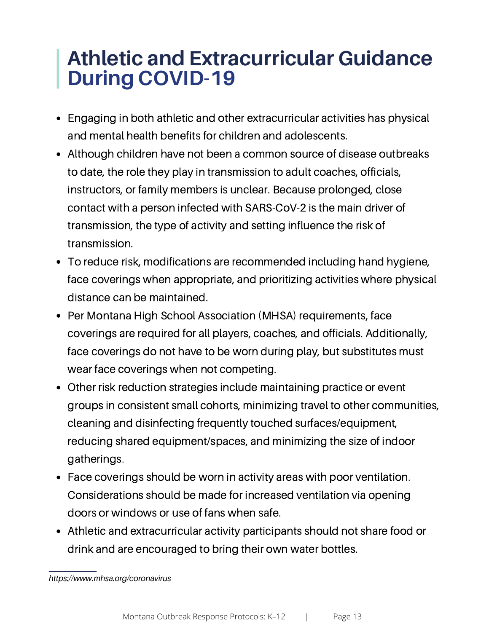## **Athletic and Extracurricular Guidance During COVID-19**

- Engaging in both athletic and other extracurricular activities has physical and mental health benefits for children and adolescents.
- Although children have not been a common source of disease outbreaks to date, the role they play in transmission to adult coaches, officials, instructors, or family members is unclear. Because prolonged, close contact with a person infected with SARS-CoV-2 is the main driver of transmission, the type of activity and setting influence the risk of transmission.
- To reduce risk, modifications are recommended including hand hygiene, face coverings when appropriate, and prioritizing activities where physical distance can be maintained.
- Per Montana High School Association (MHSA) requirements, face  $\bullet$ coverings are required for all players, coaches, and officials. Additionally, face coverings do not have to be worn during play, but substitutes must wear face coverings when not competing.
- Other risk reduction strategies include maintaining practice or event groups in consistent small cohorts, minimizing travel to other communities, cleaning and disinfecting frequently touched surfaces/equipment, reducing shared equipment/spaces, and minimizing the size of indoor gatherings.
- Face coverings should be worn in activity areas with poor ventilation. Considerations should be made for increased ventilation via opening doors or windows or use of fans when safe.
- Athletic and extracurricular activity participants should not share food or drink and are encouraged to bring their own water bottles.

*https://www.mhsa.org/coronavirus*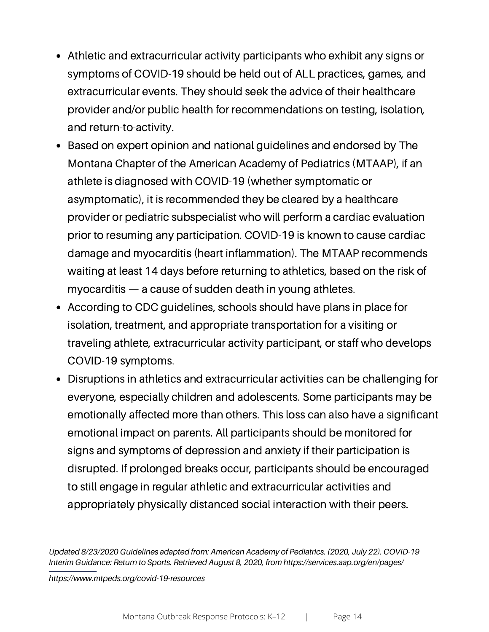- Athletic and extracurricular activity participants who exhibit any signs or symptoms of COVID-19 should be held out of ALL practices, games, and extracurricular events. They should seek the advice of their healthcare provider and/or public health for recommendations on testing, isolation, and return-to-activity.
- Based on expert opinion and national guidelines and endorsed by The Montana Chapter of the American Academy of Pediatrics (MTAAP), if an athlete is diagnosed with COVID-19 (whether symptomatic or asymptomatic), it is recommended they be cleared by a healthcare provider or pediatric subspecialist who will perform a cardiac evaluation prior to resuming any participation. COVID-19 is known to cause cardiac damage and myocarditis (heart inflammation). The MTAAP recommends waiting at least 14 days before returning to athletics, based on the risk of myocarditis — a cause of sudden death in young athletes.
- According to CDC guidelines, schools should have plans in place for isolation, treatment, and appropriate transportation for a visiting or traveling athlete, extracurricular activity participant, or staff who develops COVID-19 symptoms.
- Disruptions in athletics and extracurricular activities can be challenging for everyone, especially children and adolescents. Some participants may be emotionally affected more than others. This loss can also have a significant emotional impact on parents. All participants should be monitored for signs and symptoms of depression and anxiety if their participation is disrupted. If prolonged breaks occur, participants should be encouraged to still engage in regular athletic and extracurricular activities and appropriately physically distanced social interaction with their peers.

*Updated 8/23/2020 Guidelines adapted from: American Academy of Pediatrics. (2020, July 22). COVID-19 Interim Guidance: Return to Sports. Retrieved August 8, 2020, from https://services.aap.org/en/pages/*

*https://www.mtpeds.org/covid-19-resources*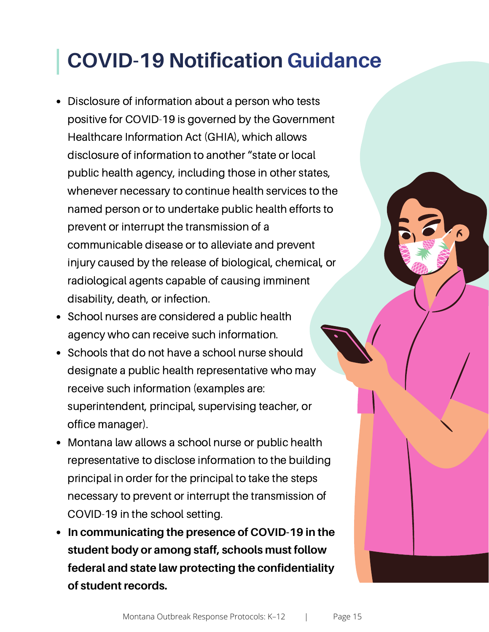## **COVID-19 Notification Guidance**

- Disclosure of information about a person who tests positive for COVID-19 is governed by the Government Healthcare Information Act (GHIA), which allows disclosure of information to another "state or local public health agency, including those in other states, whenever necessary to continue health services to the named person or to undertake public health efforts to prevent or interrupt the transmission of a communicable disease or to alleviate and prevent injury caused by the release of biological, chemical, or radiological agents capable of causing imminent disability, death, or infection.
- School nurses are considered a public health agency who can receive such information.
- Schools that do not have a school nurse should designate a public health representative who may receive such information (examples are: superintendent, principal, supervising teacher, or office manager).
- Montana law allows a school nurse or public health representative to disclose information to the building principal in order for the principal to take the steps necessary to prevent or interrupt the transmission of COVID-19 in the school setting.
- **In communicating the presence of COVID-19 in the student body or among staff, schools must follow federal and state law protecting the confidentiality of student records.**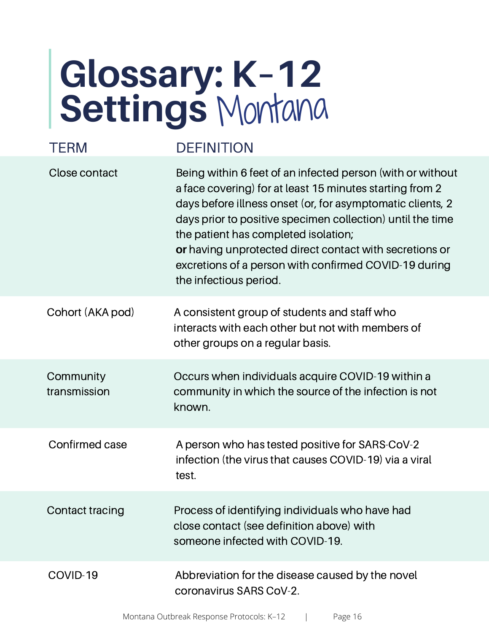# <span id="page-16-0"></span>**Glossary: K–12 Settings** Montana

| TFRM                      | <b>DEFINITION</b>                                                                                                                                                                                                                                                                                                                                                                                                                        |
|---------------------------|------------------------------------------------------------------------------------------------------------------------------------------------------------------------------------------------------------------------------------------------------------------------------------------------------------------------------------------------------------------------------------------------------------------------------------------|
| Close contact             | Being within 6 feet of an infected person (with or without<br>a face covering) for at least 15 minutes starting from 2<br>days before illness onset (or, for asymptomatic clients, 2<br>days prior to positive specimen collection) until the time<br>the patient has completed isolation;<br>or having unprotected direct contact with secretions or<br>excretions of a person with confirmed COVID-19 during<br>the infectious period. |
| Cohort (AKA pod)          | A consistent group of students and staff who<br>interacts with each other but not with members of<br>other groups on a regular basis.                                                                                                                                                                                                                                                                                                    |
| Community<br>transmission | Occurs when individuals acquire COVID-19 within a<br>community in which the source of the infection is not<br>known.                                                                                                                                                                                                                                                                                                                     |
| Confirmed case            | A person who has tested positive for SARS-CoV-2<br>infection (the virus that causes COVID-19) via a viral<br>test.                                                                                                                                                                                                                                                                                                                       |
| Contact tracing           | Process of identifying individuals who have had<br>close contact (see definition above) with<br>someone infected with COVID-19.                                                                                                                                                                                                                                                                                                          |
| COVID-19                  | Abbreviation for the disease caused by the novel<br>coronavirus SARS CoV-2.                                                                                                                                                                                                                                                                                                                                                              |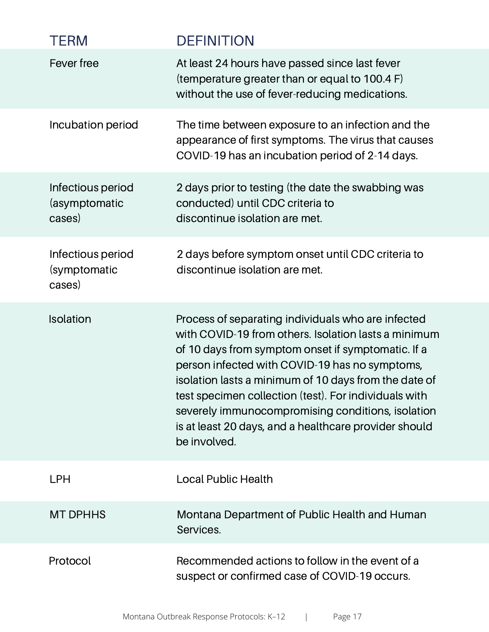| <b>TERM</b>                                  | <b>DEFINITION</b>                                                                                                                                                                                                                                                                                                                                                                                                                                                  |
|----------------------------------------------|--------------------------------------------------------------------------------------------------------------------------------------------------------------------------------------------------------------------------------------------------------------------------------------------------------------------------------------------------------------------------------------------------------------------------------------------------------------------|
| Fever free                                   | At least 24 hours have passed since last fever<br>(temperature greater than or equal to 100.4 F)<br>without the use of fever-reducing medications.                                                                                                                                                                                                                                                                                                                 |
| Incubation period                            | The time between exposure to an infection and the<br>appearance of first symptoms. The virus that causes<br>COVID-19 has an incubation period of 2-14 days.                                                                                                                                                                                                                                                                                                        |
| Infectious period<br>(asymptomatic<br>cases) | 2 days prior to testing (the date the swabbing was<br>conducted) until CDC criteria to<br>discontinue isolation are met.                                                                                                                                                                                                                                                                                                                                           |
| Infectious period<br>(symptomatic<br>cases)  | 2 days before symptom onset until CDC criteria to<br>discontinue isolation are met.                                                                                                                                                                                                                                                                                                                                                                                |
| Isolation                                    | Process of separating individuals who are infected<br>with COVID-19 from others. Isolation lasts a minimum<br>of 10 days from symptom onset if symptomatic. If a<br>person infected with COVID-19 has no symptoms,<br>isolation lasts a minimum of 10 days from the date of<br>test specimen collection (test). For individuals with<br>severely immunocompromising conditions, isolation<br>is at least 20 days, and a healthcare provider should<br>be involved. |
| <b>LPH</b>                                   | <b>Local Public Health</b>                                                                                                                                                                                                                                                                                                                                                                                                                                         |
| <b>MT DPHHS</b>                              | Montana Department of Public Health and Human<br>Services.                                                                                                                                                                                                                                                                                                                                                                                                         |
| Protocol                                     | Recommended actions to follow in the event of a<br>suspect or confirmed case of COVID-19 occurs.                                                                                                                                                                                                                                                                                                                                                                   |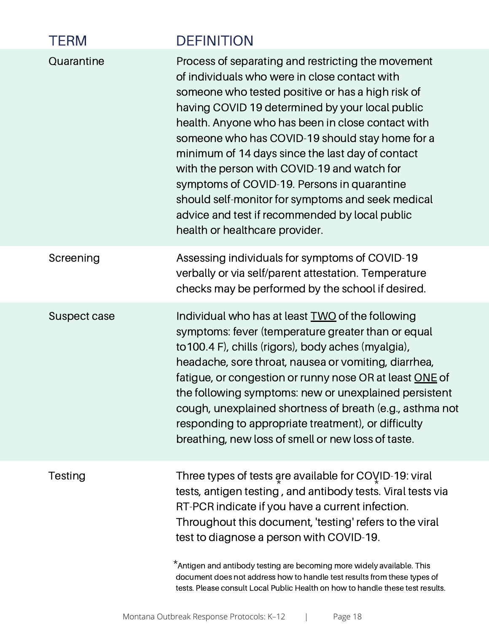| <b>TERM</b>  | <b>DEFINITION</b>                                                                                                                                                                                                                                                                                                                                                                                                                                                                                                                                                                                              |
|--------------|----------------------------------------------------------------------------------------------------------------------------------------------------------------------------------------------------------------------------------------------------------------------------------------------------------------------------------------------------------------------------------------------------------------------------------------------------------------------------------------------------------------------------------------------------------------------------------------------------------------|
| Quarantine   | Process of separating and restricting the movement<br>of individuals who were in close contact with<br>someone who tested positive or has a high risk of<br>having COVID 19 determined by your local public<br>health. Anyone who has been in close contact with<br>someone who has COVID-19 should stay home for a<br>minimum of 14 days since the last day of contact<br>with the person with COVID-19 and watch for<br>symptoms of COVID-19. Persons in quarantine<br>should self-monitor for symptoms and seek medical<br>advice and test if recommended by local public<br>health or healthcare provider. |
| Screening    | Assessing individuals for symptoms of COVID-19<br>verbally or via self/parent attestation. Temperature<br>checks may be performed by the school if desired.                                                                                                                                                                                                                                                                                                                                                                                                                                                    |
| Suspect case | Individual who has at least TWO of the following<br>symptoms: fever (temperature greater than or equal<br>to 100.4 F), chills (rigors), body aches (myalgia),<br>headache, sore throat, nausea or vomiting, diarrhea,<br>fatigue, or congestion or runny nose OR at least ONE of<br>the following symptoms: new or unexplained persistent<br>cough, unexplained shortness of breath (e.g., asthma not<br>responding to appropriate treatment), or difficulty<br>breathing, new loss of smell or new loss of taste.                                                                                             |
| Testing      | Three types of tests are available for $COYID-19$ : viral<br>tests, antigen testing, and antibody tests. Viral tests via<br>RT-PCR indicate if you have a current infection.<br>Throughout this document, 'testing' refers to the viral<br>test to diagnose a person with COVID-19.<br>*Antigen and antibody testing are becoming more widely available. This<br>document does not address how to handle test results from these types of<br>tests. Please consult Local Public Health on how to handle these test results.                                                                                    |